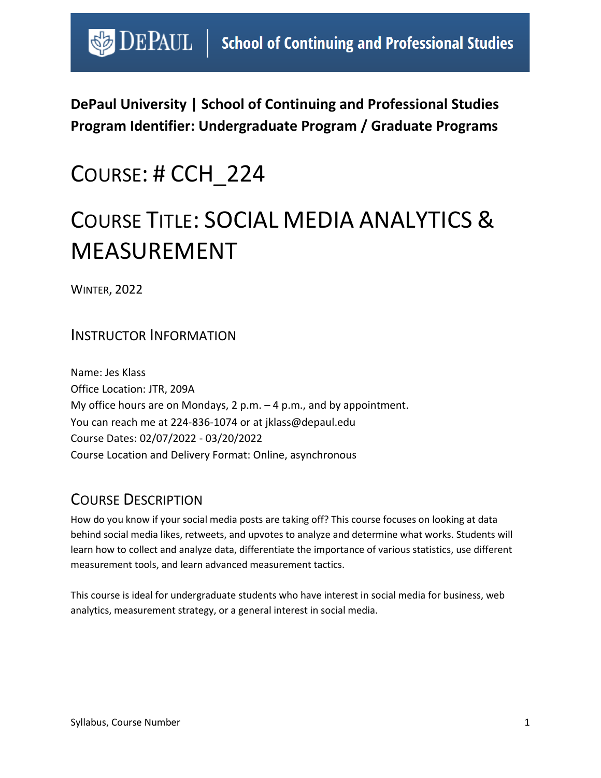# $\bigcirc$  DEPAUL | School of Continuing and Professional Studies

**DePaul University | School of Continuing and Professional Studies Program Identifier: Undergraduate Program / Graduate Programs** 

# COURSE: # CCH\_224

# COURSE TITLE: SOCIAL MEDIA ANALYTICS & MEASUREMENT

WINTER, 2022

### INSTRUCTOR INFORMATION

Name: Jes Klass Office Location: JTR, 209A My office hours are on Mondays, 2 p.m. – 4 p.m., and by appointment. You can reach me at 224-836-1074 or at jklass@depaul.edu Course Dates: 02/07/2022 - 03/20/2022 Course Location and Delivery Format: Online, asynchronous

# COURSE DESCRIPTION

How do you know if your social media posts are taking off? This course focuses on looking at data behind social media likes, retweets, and upvotes to analyze and determine what works. Students will learn how to collect and analyze data, differentiate the importance of various statistics, use different measurement tools, and learn advanced measurement tactics.

This course is ideal for undergraduate students who have interest in social media for business, web analytics, measurement strategy, or a general interest in social media.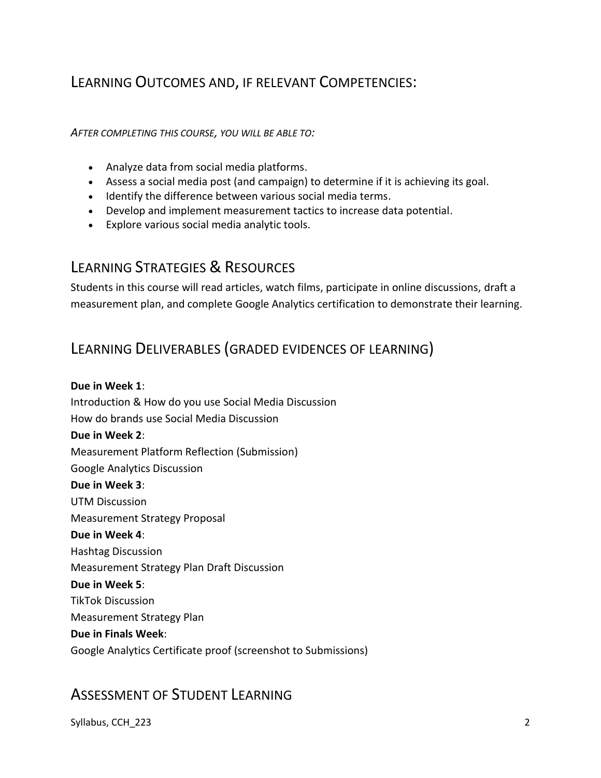# LEARNING OUTCOMES AND, IF RELEVANT COMPETENCIES:

*AFTER COMPLETING THIS COURSE, YOU WILL BE ABLE TO:*

- Analyze data from social media platforms.
- Assess a social media post (and campaign) to determine if it is achieving its goal.
- Identify the difference between various social media terms.
- Develop and implement measurement tactics to increase data potential.
- Explore various social media analytic tools.

## LEARNING STRATEGIES & RESOURCES

Students in this course will read articles, watch films, participate in online discussions, draft a measurement plan, and complete Google Analytics certification to demonstrate their learning.

## LEARNING DELIVERABLES (GRADED EVIDENCES OF LEARNING)

**Due in Week 1**: Introduction & How do you use Social Media Discussion How do brands use Social Media Discussion **Due in Week 2**: Measurement Platform Reflection (Submission) Google Analytics Discussion **Due in Week 3**: UTM Discussion Measurement Strategy Proposal **Due in Week 4**: Hashtag Discussion Measurement Strategy Plan Draft Discussion **Due in Week 5**: TikTok Discussion Measurement Strategy Plan **Due in Finals Week**: Google Analytics Certificate proof (screenshot to Submissions)

## ASSESSMENT OF STUDENT LEARNING

Syllabus, CCH\_223 22 223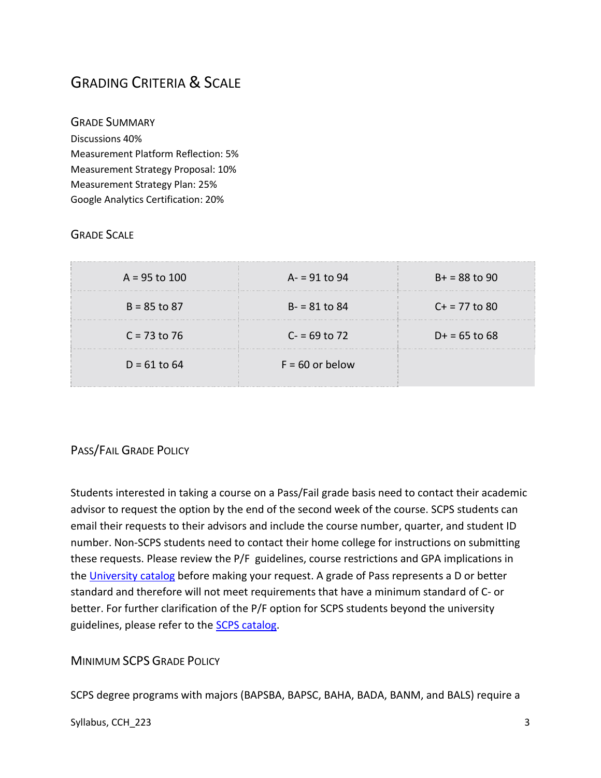# GRADING CRITERIA & SCALE

GRADE SUMMARY Discussions 40% Measurement Platform Reflection: 5% Measurement Strategy Proposal: 10% Measurement Strategy Plan: 25% Google Analytics Certification: 20%

#### GRADE SCALE

| $A = 95$ to 100 | $A = 91$ to 94    | $B+ = 88$ to 90 |
|-----------------|-------------------|-----------------|
| $B = 85$ to 87  | $B - 81$ to 84    | $C + 77$ to 80  |
| $C = 73$ to 76  | $C = 69$ to 72    | $D+ = 65$ to 68 |
| $D = 61$ to 64  | $F = 60$ or below |                 |

#### PASS/FAIL GRADE POLICY

Students interested in taking a course on a Pass/Fail grade basis need to contact their academic advisor to request the option by the end of the second week of the course. SCPS students can email their requests to their advisors and include the course number, quarter, and student ID number. Non-SCPS students need to contact their home college for instructions on submitting these requests. Please review the P/F guidelines, course restrictions and GPA implications in the [University catalog](https://catalog.depaul.edu/student-handbooks/undergraduate/undergraduate-academic-policies/grades-pass-fail/) before making your request. A grade of Pass represents a D or better standard and therefore will not meet requirements that have a minimum standard of C- or better. For further clarification of the P/F option for SCPS students beyond the university guidelines, please refer to the **SCPS catalog**.

MINIMUM SCPS GRADE POLICY

SCPS degree programs with majors (BAPSBA, BAPSC, BAHA, BADA, BANM, and BALS) require a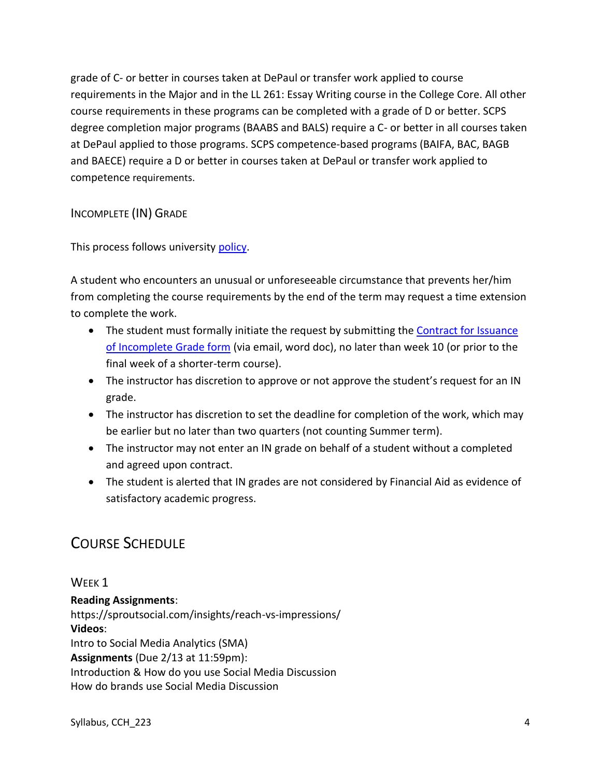grade of C- or better in courses taken at DePaul or transfer work applied to course requirements in the Major and in the LL 261: Essay Writing course in the College Core. All other course requirements in these programs can be completed with a grade of D or better. SCPS degree completion major programs (BAABS and BALS) require a C- or better in all courses taken at DePaul applied to those programs. SCPS competence-based programs (BAIFA, BAC, BAGB and BAECE) require a D or better in courses taken at DePaul or transfer work applied to competence requirements.

INCOMPLETE (IN) GRADE

This process follows university [policy.](https://catalog.depaul.edu/student-handbooks/undergraduate/undergraduate-academic-policies/grades-incomplete-and-research-expiration-policy/)

A student who encounters an unusual or unforeseeable circumstance that prevents her/him from completing the course requirements by the end of the term may request a time extension to complete the work.

- The student must formally initiate the request by submitting the Contract for Issuance [of Incomplete Grade form](https://scps.depaul.edu/student-resources/undergraduate-resources/Documents/Incomplete%20Grade%20Contract.pdf) (via email, word doc), no later than week 10 (or prior to the final week of a shorter-term course).
- The instructor has discretion to approve or not approve the student's request for an IN grade.
- The instructor has discretion to set the deadline for completion of the work, which may be earlier but no later than two quarters (not counting Summer term).
- The instructor may not enter an IN grade on behalf of a student without a completed and agreed upon contract.
- The student is alerted that IN grades are not considered by Financial Aid as evidence of satisfactory academic progress.

# COURSE SCHEDULE

WEEK<sub>1</sub> **Reading Assignments**: https://sproutsocial.com/insights/reach-vs-impressions/ **Videos**: Intro to Social Media Analytics (SMA) **Assignments** (Due 2/13 at 11:59pm): Introduction & How do you use Social Media Discussion How do brands use Social Media Discussion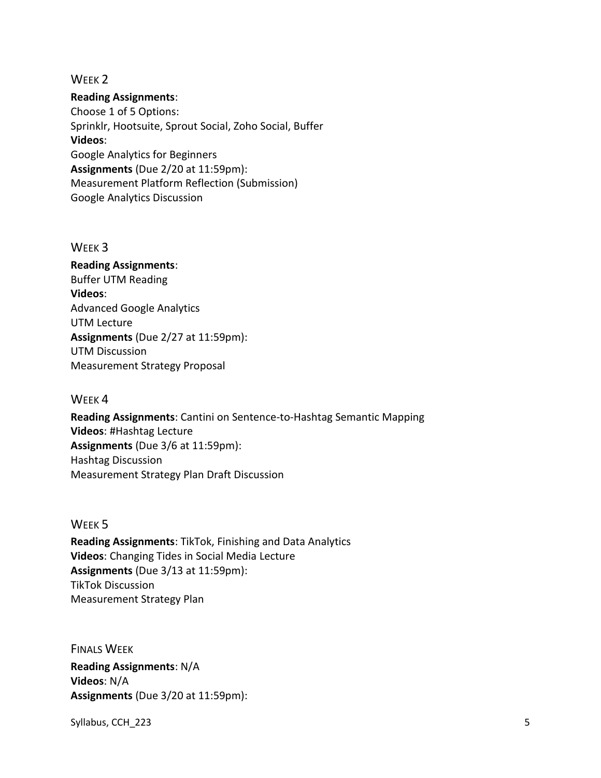#### WEEK<sub>2</sub>

**Reading Assignments**:

Choose 1 of 5 Options: Sprinklr, Hootsuite, Sprout Social, Zoho Social, Buffer **Videos**: Google Analytics for Beginners **Assignments** (Due 2/20 at 11:59pm): Measurement Platform Reflection (Submission) Google Analytics Discussion

#### WEEK 3

**Reading Assignments**: Buffer UTM Reading **Videos**: Advanced Google Analytics UTM Lecture **Assignments** (Due 2/27 at 11:59pm): UTM Discussion Measurement Strategy Proposal

#### WEEK 4

**Reading Assignments**: Cantini on Sentence-to-Hashtag Semantic Mapping **Videos**: #Hashtag Lecture **Assignments** (Due 3/6 at 11:59pm): Hashtag Discussion Measurement Strategy Plan Draft Discussion

#### WEEK 5

**Reading Assignments**: TikTok, Finishing and Data Analytics **Videos**: Changing Tides in Social Media Lecture **Assignments** (Due 3/13 at 11:59pm): TikTok Discussion Measurement Strategy Plan

FINALS WEEK **Reading Assignments**: N/A **Videos**: N/A **Assignments** (Due 3/20 at 11:59pm):

Syllabus, CCH\_223 5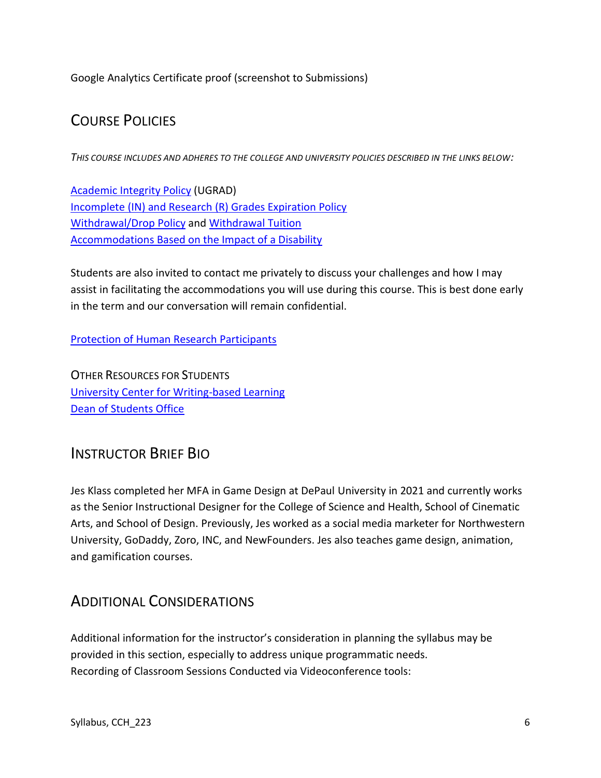Google Analytics Certificate proof (screenshot to Submissions)

# COURSE POLICIES

*THIS COURSE INCLUDES AND ADHERES TO THE COLLEGE AND UNIVERSITY POLICIES DESCRIBED IN THE LINKS BELOW:*

[Academic Integrity Policy](https://catalog.depaul.edu/student-handbooks/undergraduate/undergraduate-academic-policies/academic-integrity/) (UGRAD) [Incomplete \(IN\) and Research \(R\) Grades Expiration Policy](https://catalog.depaul.edu/student-handbooks/undergraduate/undergraduate-academic-policies/grades-incomplete-and-research-expiration-policy/) [Withdrawal/Drop Policy](https://catalog.depaul.edu/student-handbooks/undergraduate/undergraduate-academic-policies/withdrawal-drop-policy/) and [Withdrawal Tuition](https://catalog.depaul.edu/student-handbooks/undergraduate/undergraduate-academic-policies/withdrawal-tuition/) [Accommodations Based on the Impact of a Disability](https://catalog.depaul.edu/student-handbooks/undergraduate/university-resources/center-for-students-with-disabilities/)

Students are also invited to contact me privately to discuss your challenges and how I may assist in facilitating the accommodations you will use during this course. This is best done early in the term and our conversation will remain confidential.

[Protection of Human Research Participants](http://policies.depaul.edu/policy/policy.aspx?pid=185)

OTHER RESOURCES FOR STUDENTS [University Center for Writing-based Learning](http://condor.depaul.edu/writing/) [Dean of Students Office](http://www.depaul.edu/university-catalog/academic-handbooks/undergraduate/university-resources/Pages/dean-of-students-office.aspx)

## INSTRUCTOR BRIEF BIO

Jes Klass completed her MFA in Game Design at DePaul University in 2021 and currently works as the Senior Instructional Designer for the College of Science and Health, School of Cinematic Arts, and School of Design. Previously, Jes worked as a social media marketer for Northwestern University, GoDaddy, Zoro, INC, and NewFounders. Jes also teaches game design, animation, and gamification courses.

# ADDITIONAL CONSIDERATIONS

Additional information for the instructor's consideration in planning the syllabus may be provided in this section, especially to address unique programmatic needs. Recording of Classroom Sessions Conducted via Videoconference tools: